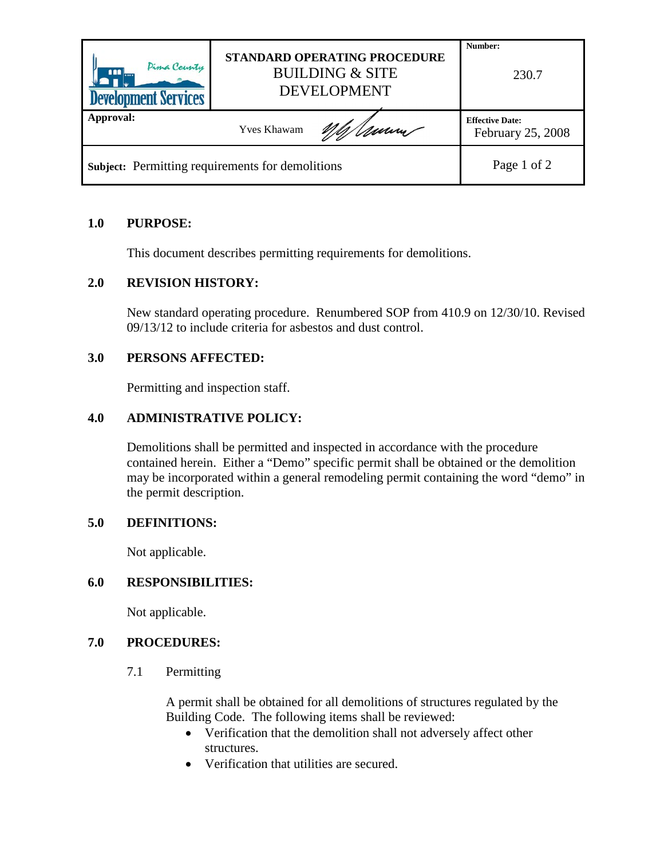| Pima County<br>ana l<br><b>Development Services</b> | <b>STANDARD OPERATING PROCEDURE</b><br><b>BUILDING &amp; SITE</b><br><b>DEVELOPMENT</b> | Number:<br>230.7                            |
|-----------------------------------------------------|-----------------------------------------------------------------------------------------|---------------------------------------------|
| Approval:                                           | <b>Yves Khawam</b>                                                                      | <b>Effective Date:</b><br>February 25, 2008 |
| Subject: Permitting requirements for demolitions    |                                                                                         | Page 1 of 2                                 |

# **1.0 PURPOSE:**

This document describes permitting requirements for demolitions.

## **2.0 REVISION HISTORY:**

New standard operating procedure. Renumbered SOP from 410.9 on 12/30/10. Revised 09/13/12 to include criteria for asbestos and dust control.

# **3.0 PERSONS AFFECTED:**

Permitting and inspection staff.

# **4.0 ADMINISTRATIVE POLICY:**

Demolitions shall be permitted and inspected in accordance with the procedure contained herein. Either a "Demo" specific permit shall be obtained or the demolition may be incorporated within a general remodeling permit containing the word "demo" in the permit description.

## **5.0 DEFINITIONS:**

Not applicable.

## **6.0 RESPONSIBILITIES:**

Not applicable.

## **7.0 PROCEDURES:**

7.1 Permitting

A permit shall be obtained for all demolitions of structures regulated by the Building Code. The following items shall be reviewed:

- Verification that the demolition shall not adversely affect other structures.
- Verification that utilities are secured.